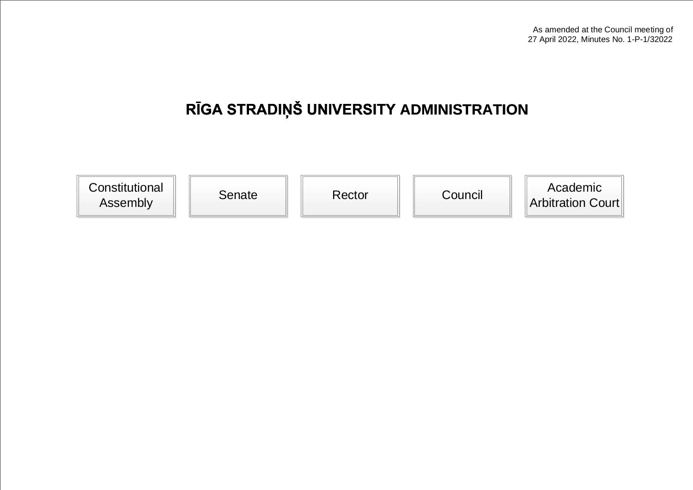## **RĪGA STRADIŅŠ UNIVERSITY ADMINISTRATION**

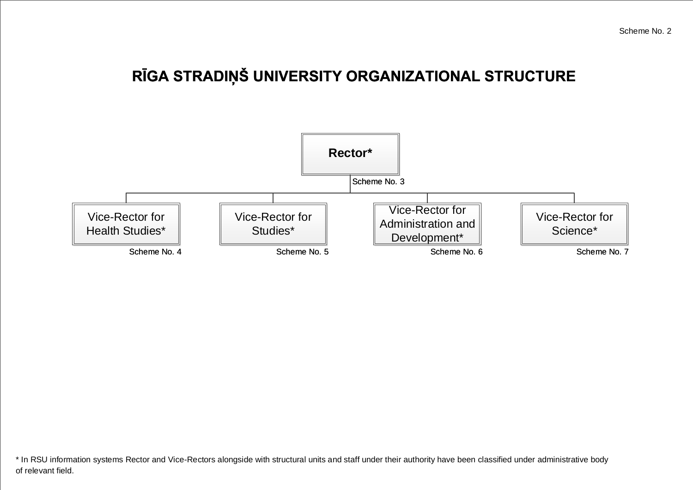## **RĪGA STRADIŅŠ UNIVERSITY ORGANIZATIONAL STRUCTURE**



\* In RSU information systems Rector and Vice-Rectors alongside with structural units and staff under their authority have been classified under administrative body of relevant field.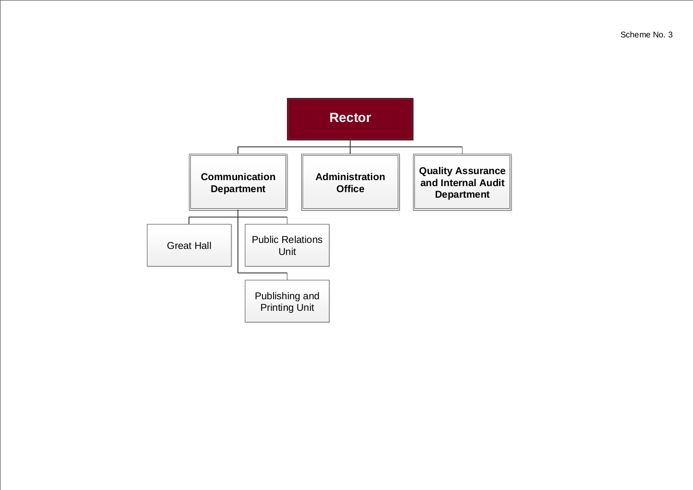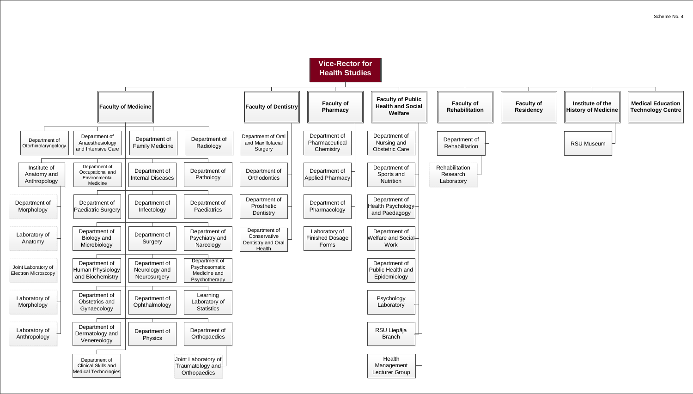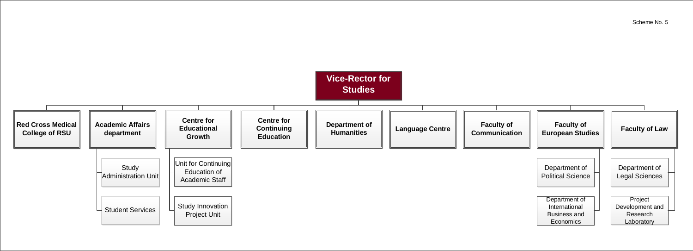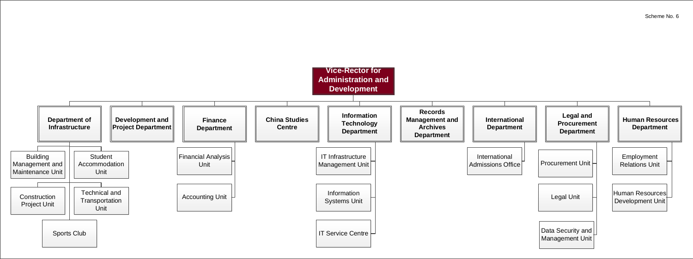